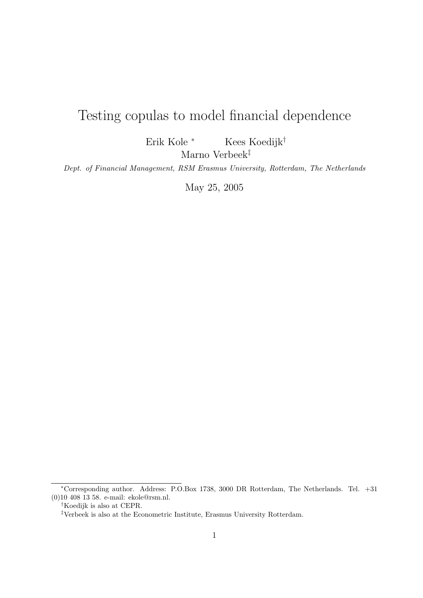# Testing copulas to model financial dependence

Erik Kole <sup>∗</sup> Kees Koedijk†

Marno Verbeek‡

Dept. of Financial Management, RSM Erasmus University, Rotterdam, The Netherlands

May 25, 2005

<sup>∗</sup>Corresponding author. Address: P.O.Box 1738, 3000 DR Rotterdam, The Netherlands. Tel. +31 (0)10 408 13 58. e-mail: ekole@rsm.nl.

<sup>†</sup>Koedijk is also at CEPR.

 $^\ddag$  Verbeek is also at the Econometric Institute, Erasmus University Rotterdam.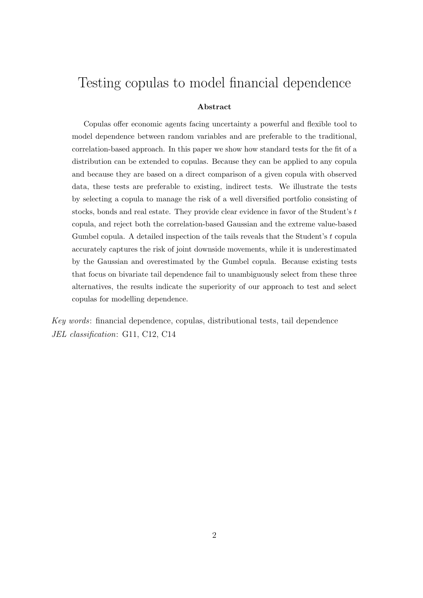# Testing copulas to model financial dependence

#### Abstract

Copulas offer economic agents facing uncertainty a powerful and flexible tool to model dependence between random variables and are preferable to the traditional, correlation-based approach. In this paper we show how standard tests for the fit of a distribution can be extended to copulas. Because they can be applied to any copula and because they are based on a direct comparison of a given copula with observed data, these tests are preferable to existing, indirect tests. We illustrate the tests by selecting a copula to manage the risk of a well diversified portfolio consisting of stocks, bonds and real estate. They provide clear evidence in favor of the Student's t copula, and reject both the correlation-based Gaussian and the extreme value-based Gumbel copula. A detailed inspection of the tails reveals that the Student's  $t$  copula accurately captures the risk of joint downside movements, while it is underestimated by the Gaussian and overestimated by the Gumbel copula. Because existing tests that focus on bivariate tail dependence fail to unambiguously select from these three alternatives, the results indicate the superiority of our approach to test and select copulas for modelling dependence.

Key words: financial dependence, copulas, distributional tests, tail dependence JEL classification: G11, C12, C14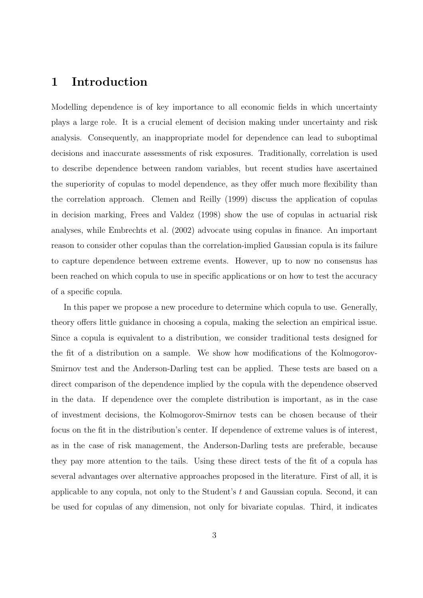# 1 Introduction

Modelling dependence is of key importance to all economic fields in which uncertainty plays a large role. It is a crucial element of decision making under uncertainty and risk analysis. Consequently, an inappropriate model for dependence can lead to suboptimal decisions and inaccurate assessments of risk exposures. Traditionally, correlation is used to describe dependence between random variables, but recent studies have ascertained the superiority of copulas to model dependence, as they offer much more flexibility than the correlation approach. Clemen and Reilly (1999) discuss the application of copulas in decision marking, Frees and Valdez (1998) show the use of copulas in actuarial risk analyses, while Embrechts et al. (2002) advocate using copulas in finance. An important reason to consider other copulas than the correlation-implied Gaussian copula is its failure to capture dependence between extreme events. However, up to now no consensus has been reached on which copula to use in specific applications or on how to test the accuracy of a specific copula.

In this paper we propose a new procedure to determine which copula to use. Generally, theory offers little guidance in choosing a copula, making the selection an empirical issue. Since a copula is equivalent to a distribution, we consider traditional tests designed for the fit of a distribution on a sample. We show how modifications of the Kolmogorov-Smirnov test and the Anderson-Darling test can be applied. These tests are based on a direct comparison of the dependence implied by the copula with the dependence observed in the data. If dependence over the complete distribution is important, as in the case of investment decisions, the Kolmogorov-Smirnov tests can be chosen because of their focus on the fit in the distribution's center. If dependence of extreme values is of interest, as in the case of risk management, the Anderson-Darling tests are preferable, because they pay more attention to the tails. Using these direct tests of the fit of a copula has several advantages over alternative approaches proposed in the literature. First of all, it is applicable to any copula, not only to the Student's t and Gaussian copula. Second, it can be used for copulas of any dimension, not only for bivariate copulas. Third, it indicates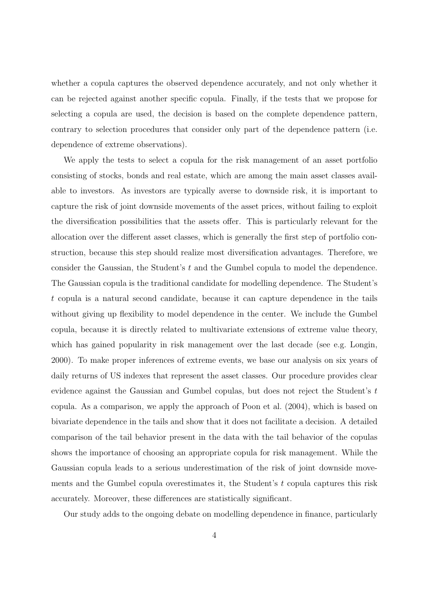whether a copula captures the observed dependence accurately, and not only whether it can be rejected against another specific copula. Finally, if the tests that we propose for selecting a copula are used, the decision is based on the complete dependence pattern, contrary to selection procedures that consider only part of the dependence pattern (i.e. dependence of extreme observations).

We apply the tests to select a copula for the risk management of an asset portfolio consisting of stocks, bonds and real estate, which are among the main asset classes available to investors. As investors are typically averse to downside risk, it is important to capture the risk of joint downside movements of the asset prices, without failing to exploit the diversification possibilities that the assets offer. This is particularly relevant for the allocation over the different asset classes, which is generally the first step of portfolio construction, because this step should realize most diversification advantages. Therefore, we consider the Gaussian, the Student's t and the Gumbel copula to model the dependence. The Gaussian copula is the traditional candidate for modelling dependence. The Student's t copula is a natural second candidate, because it can capture dependence in the tails without giving up flexibility to model dependence in the center. We include the Gumbel copula, because it is directly related to multivariate extensions of extreme value theory, which has gained popularity in risk management over the last decade (see e.g. Longin, 2000). To make proper inferences of extreme events, we base our analysis on six years of daily returns of US indexes that represent the asset classes. Our procedure provides clear evidence against the Gaussian and Gumbel copulas, but does not reject the Student's t copula. As a comparison, we apply the approach of Poon et al. (2004), which is based on bivariate dependence in the tails and show that it does not facilitate a decision. A detailed comparison of the tail behavior present in the data with the tail behavior of the copulas shows the importance of choosing an appropriate copula for risk management. While the Gaussian copula leads to a serious underestimation of the risk of joint downside movements and the Gumbel copula overestimates it, the Student's  $t$  copula captures this risk accurately. Moreover, these differences are statistically significant.

Our study adds to the ongoing debate on modelling dependence in finance, particularly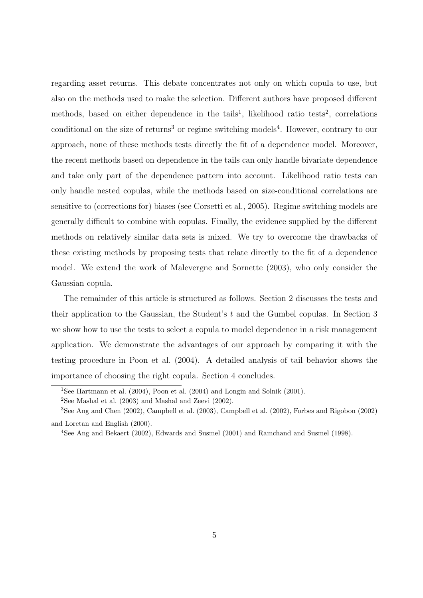regarding asset returns. This debate concentrates not only on which copula to use, but also on the methods used to make the selection. Different authors have proposed different methods, based on either dependence in the tails<sup>1</sup>, likelihood ratio tests<sup>2</sup>, correlations conditional on the size of returns<sup>3</sup> or regime switching models<sup>4</sup>. However, contrary to our approach, none of these methods tests directly the fit of a dependence model. Moreover, the recent methods based on dependence in the tails can only handle bivariate dependence and take only part of the dependence pattern into account. Likelihood ratio tests can only handle nested copulas, while the methods based on size-conditional correlations are sensitive to (corrections for) biases (see Corsetti et al., 2005). Regime switching models are generally difficult to combine with copulas. Finally, the evidence supplied by the different methods on relatively similar data sets is mixed. We try to overcome the drawbacks of these existing methods by proposing tests that relate directly to the fit of a dependence model. We extend the work of Malevergne and Sornette (2003), who only consider the Gaussian copula.

The remainder of this article is structured as follows. Section 2 discusses the tests and their application to the Gaussian, the Student's t and the Gumbel copulas. In Section 3 we show how to use the tests to select a copula to model dependence in a risk management application. We demonstrate the advantages of our approach by comparing it with the testing procedure in Poon et al. (2004). A detailed analysis of tail behavior shows the importance of choosing the right copula. Section 4 concludes.

<sup>1</sup>See Hartmann et al. (2004), Poon et al. (2004) and Longin and Solnik (2001).

 $2$ See Mashal et al. (2003) and Mashal and Zeevi (2002).

<sup>3</sup>See Ang and Chen (2002), Campbell et al. (2003), Campbell et al. (2002), Forbes and Rigobon (2002) and Loretan and English (2000).

<sup>4</sup>See Ang and Bekaert (2002), Edwards and Susmel (2001) and Ramchand and Susmel (1998).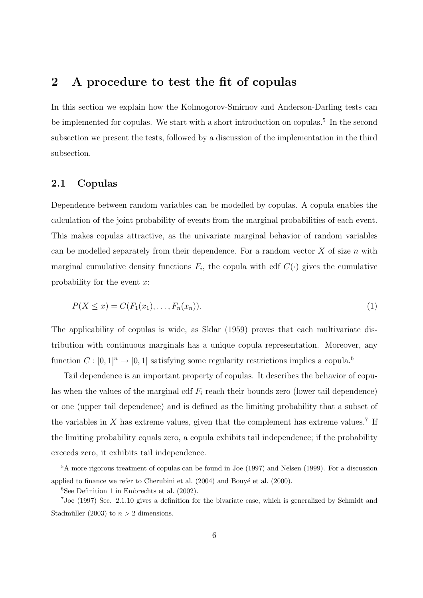# 2 A procedure to test the fit of copulas

In this section we explain how the Kolmogorov-Smirnov and Anderson-Darling tests can be implemented for copulas. We start with a short introduction on copulas.<sup>5</sup> In the second subsection we present the tests, followed by a discussion of the implementation in the third subsection.

### 2.1 Copulas

Dependence between random variables can be modelled by copulas. A copula enables the calculation of the joint probability of events from the marginal probabilities of each event. This makes copulas attractive, as the univariate marginal behavior of random variables can be modelled separately from their dependence. For a random vector  $X$  of size  $n$  with marginal cumulative density functions  $F_i$ , the copula with cdf  $C(\cdot)$  gives the cumulative probability for the event  $x$ :

$$
P(X \le x) = C(F_1(x_1), \dots, F_n(x_n)).
$$
\n(1)

The applicability of copulas is wide, as Sklar (1959) proves that each multivariate distribution with continuous marginals has a unique copula representation. Moreover, any function  $C : [0, 1]$ <sup>n</sup>  $\rightarrow$  [0, 1] satisfying some regularity restrictions implies a copula.<sup>6</sup>

Tail dependence is an important property of copulas. It describes the behavior of copulas when the values of the marginal cdf  $F_i$  reach their bounds zero (lower tail dependence) or one (upper tail dependence) and is defined as the limiting probability that a subset of the variables in  $X$  has extreme values, given that the complement has extreme values.<sup>7</sup> If the limiting probability equals zero, a copula exhibits tail independence; if the probability exceeds zero, it exhibits tail independence.

<sup>5</sup>A more rigorous treatment of copulas can be found in Joe (1997) and Nelsen (1999). For a discussion applied to finance we refer to Cherubini et al.  $(2004)$  and Bouyé et al.  $(2000)$ .

 ${}^{6}$ See Definition 1 in Embrechts et al. (2002).

<sup>7</sup>Joe (1997) Sec. 2.1.10 gives a definition for the bivariate case, which is generalized by Schmidt and Stadmüller (2003) to  $n > 2$  dimensions.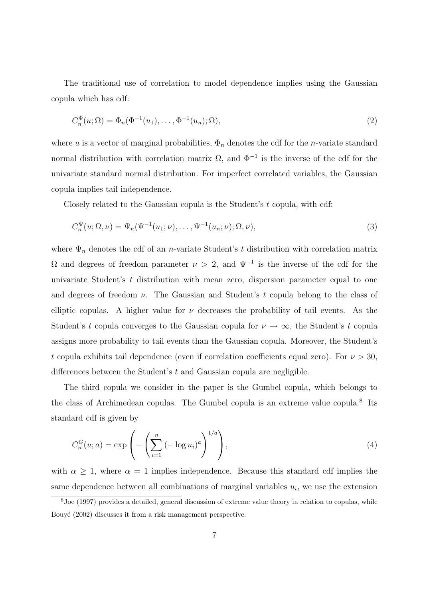The traditional use of correlation to model dependence implies using the Gaussian copula which has cdf:

$$
C_n^{\Phi}(u; \Omega) = \Phi_n(\Phi^{-1}(u_1), \dots, \Phi^{-1}(u_n); \Omega), \tag{2}
$$

where u is a vector of marginal probabilities,  $\Phi_n$  denotes the cdf for the n-variate standard normal distribution with correlation matrix  $\Omega$ , and  $\Phi^{-1}$  is the inverse of the cdf for the univariate standard normal distribution. For imperfect correlated variables, the Gaussian copula implies tail independence.

Closely related to the Gaussian copula is the Student's t copula, with cdf:

$$
C_n^{\Psi}(u; \Omega, \nu) = \Psi_n(\Psi^{-1}(u_1; \nu), \dots, \Psi^{-1}(u_n; \nu); \Omega, \nu), \tag{3}
$$

where  $\Psi_n$  denotes the cdf of an *n*-variate Student's t distribution with correlation matrix Ω and degrees of freedom parameter  $\nu > 2$ , and  $\Psi^{-1}$  is the inverse of the cdf for the univariate Student's t distribution with mean zero, dispersion parameter equal to one and degrees of freedom  $\nu$ . The Gaussian and Student's t copula belong to the class of elliptic copulas. A higher value for  $\nu$  decreases the probability of tail events. As the Student's t copula converges to the Gaussian copula for  $\nu \to \infty$ , the Student's t copula assigns more probability to tail events than the Gaussian copula. Moreover, the Student's t copula exhibits tail dependence (even if correlation coefficients equal zero). For  $\nu > 30$ , differences between the Student's t and Gaussian copula are negligible.

The third copula we consider in the paper is the Gumbel copula, which belongs to the class of Archimedean copulas. The Gumbel copula is an extreme value copula.<sup>8</sup> Its standard cdf is given by

$$
C_n^G(u;a) = \exp\left(-\left(\sum_{i=1}^n \left(-\log u_i\right)^a\right)^{1/a}\right),\tag{4}
$$

with  $\alpha \geq 1$ , where  $\alpha = 1$  implies independence. Because this standard cdf implies the same dependence between all combinations of marginal variables  $u_i$ , we use the extension

<sup>8</sup>Joe (1997) provides a detailed, general discussion of extreme value theory in relation to copulas, while Bouyé (2002) discusses it from a risk management perspective.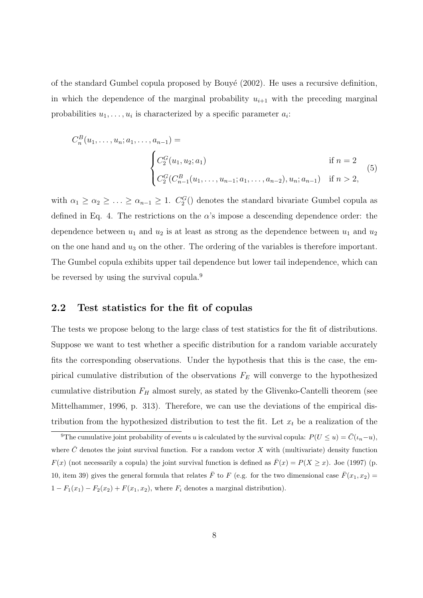of the standard Gumbel copula proposed by Bouyé  $(2002)$ . He uses a recursive definition, in which the dependence of the marginal probability  $u_{i+1}$  with the preceding marginal probabilities  $u_1, \ldots, u_i$  is characterized by a specific parameter  $a_i$ :

$$
C_n^B(u_1, \dots, u_n; a_1, \dots, a_{n-1}) =
$$
\n
$$
\begin{cases}\nC_2^G(u_1, u_2; a_1) & \text{if } n = 2 \\
C_2^G(C_{n-1}^B(u_1, \dots, u_{n-1}; a_1, \dots, a_{n-2}), u_n; a_{n-1}) & \text{if } n > 2,\n\end{cases}
$$
\n(5)

with  $\alpha_1 \geq \alpha_2 \geq \ldots \geq \alpha_{n-1} \geq 1$ .  $C_2^G$  denotes the standard bivariate Gumbel copula as defined in Eq. 4. The restrictions on the  $\alpha$ 's impose a descending dependence order: the dependence between  $u_1$  and  $u_2$  is at least as strong as the dependence between  $u_1$  and  $u_2$ on the one hand and  $u_3$  on the other. The ordering of the variables is therefore important. The Gumbel copula exhibits upper tail dependence but lower tail independence, which can be reversed by using the survival copula.<sup>9</sup>

### 2.2 Test statistics for the fit of copulas

The tests we propose belong to the large class of test statistics for the fit of distributions. Suppose we want to test whether a specific distribution for a random variable accurately fits the corresponding observations. Under the hypothesis that this is the case, the empirical cumulative distribution of the observations  $F_E$  will converge to the hypothesized cumulative distribution  $F_H$  almost surely, as stated by the Glivenko-Cantelli theorem (see Mittelhammer, 1996, p. 313). Therefore, we can use the deviations of the empirical distribution from the hypothesized distribution to test the fit. Let  $x_t$  be a realization of the

<sup>&</sup>lt;sup>9</sup>The cumulative joint probability of events u is calculated by the survival copula:  $P(U \le u) = \overline{C}(t_n-u)$ , where  $\bar{C}$  denotes the joint survival function. For a random vector X with (multivariate) density function  $F(x)$  (not necessarily a copula) the joint survival function is defined as  $\bar{F}(x) = P(X \ge x)$ . Joe (1997) (p. 10, item 39) gives the general formula that relates  $\bar{F}$  to F (e.g. for the two dimensional case  $\bar{F}(x_1, x_2)$  =  $1 - F_1(x_1) - F_2(x_2) + F(x_1, x_2)$ , where  $F_i$  denotes a marginal distribution).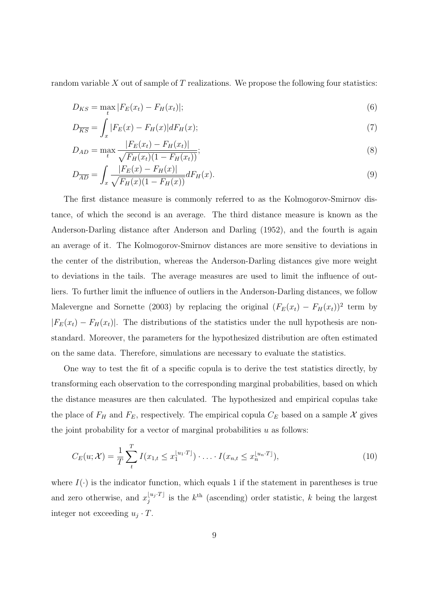random variable  $X$  out of sample of  $T$  realizations. We propose the following four statistics:

$$
D_{KS} = \max_{t} |F_E(x_t) - F_H(x_t)|;
$$
\n(6)

$$
D_{\overline{KS}} = \int_{x} |F_E(x) - F_H(x)| dF_H(x); \tag{7}
$$

$$
D_{AD} = \max_{t} \frac{|F_E(x_t) - F_H(x_t)|}{\sqrt{F_H(x_t)(1 - F_H(x_t))}};
$$
\n(8)

$$
D_{\overline{AD}} = \int_{x} \frac{|F_E(x) - F_H(x)|}{\sqrt{F_H(x)(1 - F_H(x))}} dF_H(x). \tag{9}
$$

The first distance measure is commonly referred to as the Kolmogorov-Smirnov distance, of which the second is an average. The third distance measure is known as the Anderson-Darling distance after Anderson and Darling (1952), and the fourth is again an average of it. The Kolmogorov-Smirnov distances are more sensitive to deviations in the center of the distribution, whereas the Anderson-Darling distances give more weight to deviations in the tails. The average measures are used to limit the influence of outliers. To further limit the influence of outliers in the Anderson-Darling distances, we follow Malevergne and Sornette (2003) by replacing the original  $(F_E(x_t) - F_H(x_t))^2$  term by  $|F_E(x_t) - F_H(x_t)|$ . The distributions of the statistics under the null hypothesis are nonstandard. Moreover, the parameters for the hypothesized distribution are often estimated on the same data. Therefore, simulations are necessary to evaluate the statistics.

One way to test the fit of a specific copula is to derive the test statistics directly, by transforming each observation to the corresponding marginal probabilities, based on which the distance measures are then calculated. The hypothesized and empirical copulas take the place of  $F_H$  and  $F_E$ , respectively. The empirical copula  $C_E$  based on a sample X gives the joint probability for a vector of marginal probabilities  $u$  as follows:

$$
C_E(u; \mathcal{X}) = \frac{1}{T} \sum_{t}^{T} I(x_{1,t} \leq x_1^{\lfloor u_1 \cdot T \rfloor}) \cdot \ldots \cdot I(x_{n,t} \leq x_n^{\lfloor u_n \cdot T \rfloor}), \tag{10}
$$

where  $I(\cdot)$  is the indicator function, which equals 1 if the statement in parentheses is true and zero otherwise, and  $x_i^{\lfloor u_j \cdot T \rfloor}$  $\chi_i^{[u_j]T]}$  is the k<sup>th</sup> (ascending) order statistic, k being the largest integer not exceeding  $u_j \cdot T$ .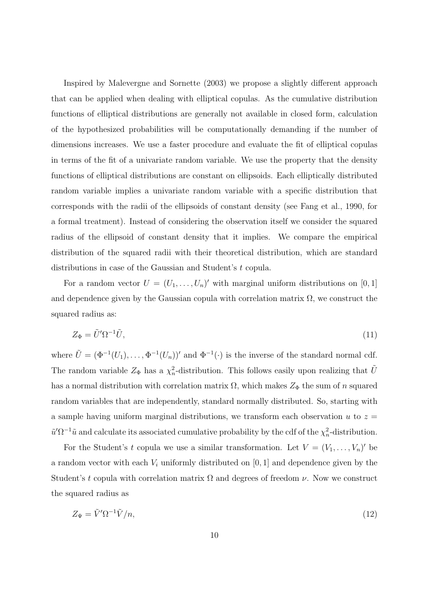Inspired by Malevergne and Sornette (2003) we propose a slightly different approach that can be applied when dealing with elliptical copulas. As the cumulative distribution functions of elliptical distributions are generally not available in closed form, calculation of the hypothesized probabilities will be computationally demanding if the number of dimensions increases. We use a faster procedure and evaluate the fit of elliptical copulas in terms of the fit of a univariate random variable. We use the property that the density functions of elliptical distributions are constant on ellipsoids. Each elliptically distributed random variable implies a univariate random variable with a specific distribution that corresponds with the radii of the ellipsoids of constant density (see Fang et al., 1990, for a formal treatment). Instead of considering the observation itself we consider the squared radius of the ellipsoid of constant density that it implies. We compare the empirical distribution of the squared radii with their theoretical distribution, which are standard distributions in case of the Gaussian and Student's t copula.

For a random vector  $U = (U_1, \ldots, U_n)'$  with marginal uniform distributions on [0, 1] and dependence given by the Gaussian copula with correlation matrix  $\Omega$ , we construct the squared radius as:

$$
Z_{\Phi} = \tilde{U}' \Omega^{-1} \tilde{U},\tag{11}
$$

where  $\tilde{U} = (\Phi^{-1}(U_1), \ldots, \Phi^{-1}(U_n))'$  and  $\Phi^{-1}(\cdot)$  is the inverse of the standard normal cdf. The random variable  $Z_{\Phi}$  has a  $\chi^2_n$ -distribution. This follows easily upon realizing that  $\tilde{U}$ has a normal distribution with correlation matrix  $\Omega$ , which makes  $Z_{\Phi}$  the sum of n squared random variables that are independently, standard normally distributed. So, starting with a sample having uniform marginal distributions, we transform each observation  $u$  to  $z =$  $\tilde{u}'\Omega^{-1}\tilde{u}$  and calculate its associated cumulative probability by the cdf of the  $\chi^2_n$ -distribution.

For the Student's t copula we use a similar transformation. Let  $V = (V_1, \ldots, V_n)'$  be a random vector with each  $V_i$  uniformly distributed on [0, 1] and dependence given by the Student's t copula with correlation matrix  $\Omega$  and degrees of freedom  $\nu$ . Now we construct the squared radius as

$$
Z_{\Psi} = \tilde{V}' \Omega^{-1} \tilde{V}/n, \tag{12}
$$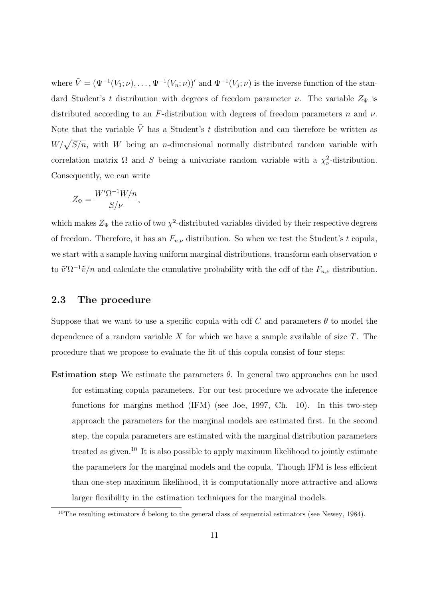where  $\tilde{V} = (\Psi^{-1}(V_1; \nu), \dots, \Psi^{-1}(V_n; \nu))'$  and  $\Psi^{-1}(V_j; \nu)$  is the inverse function of the standard Student's t distribution with degrees of freedom parameter  $\nu$ . The variable  $Z_{\Psi}$  is distributed according to an F-distribution with degrees of freedom parameters n and  $\nu$ . Note that the variable  $\tilde{V}$  has a Student's t distribution and can therefore be written as  $W/\sqrt{S/n}$ , with W being an *n*-dimensional normally distributed random variable with correlation matrix  $\Omega$  and S being a univariate random variable with a  $\chi^2_{\nu}$ -distribution. Consequently, we can write

$$
Z_{\Psi} = \frac{W'\Omega^{-1}W/n}{S/\nu},
$$

which makes  $Z_{\Psi}$  the ratio of two  $\chi^2$ -distributed variables divided by their respective degrees of freedom. Therefore, it has an  $F_{n,\nu}$  distribution. So when we test the Student's t copula, we start with a sample having uniform marginal distributions, transform each observation v to  $\tilde{v}'\Omega^{-1}\tilde{v}/n$  and calculate the cumulative probability with the cdf of the  $F_{n,\nu}$  distribution.

### 2.3 The procedure

Suppose that we want to use a specific copula with cdf C and parameters  $\theta$  to model the dependence of a random variable X for which we have a sample available of size  $T$ . The procedure that we propose to evaluate the fit of this copula consist of four steps:

Estimation step We estimate the parameters  $\theta$ . In general two approaches can be used for estimating copula parameters. For our test procedure we advocate the inference functions for margins method (IFM) (see Joe, 1997, Ch. 10). In this two-step approach the parameters for the marginal models are estimated first. In the second step, the copula parameters are estimated with the marginal distribution parameters treated as given.<sup>10</sup> It is also possible to apply maximum likelihood to jointly estimate the parameters for the marginal models and the copula. Though IFM is less efficient than one-step maximum likelihood, it is computationally more attractive and allows larger flexibility in the estimation techniques for the marginal models.

<sup>&</sup>lt;sup>10</sup>The resulting estimators  $\hat{\theta}$  belong to the general class of sequential estimators (see Newey, 1984).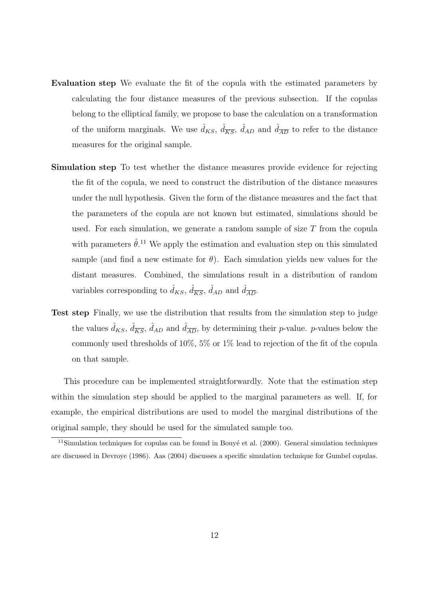- Evaluation step We evaluate the fit of the copula with the estimated parameters by calculating the four distance measures of the previous subsection. If the copulas belong to the elliptical family, we propose to base the calculation on a transformation of the uniform marginals. We use  $\hat{d}_{KS}$ ,  $\hat{d}_{\overline{KS}}$ ,  $\hat{d}_{AD}$  and  $\hat{d}_{\overline{AD}}$  to refer to the distance measures for the original sample.
- Simulation step To test whether the distance measures provide evidence for rejecting the fit of the copula, we need to construct the distribution of the distance measures under the null hypothesis. Given the form of the distance measures and the fact that the parameters of the copula are not known but estimated, simulations should be used. For each simulation, we generate a random sample of size  $T$  from the copula with parameters  $\hat{\theta}$ <sup>11</sup>. We apply the estimation and evaluation step on this simulated sample (and find a new estimate for  $\theta$ ). Each simulation yields new values for the distant measures. Combined, the simulations result in a distribution of random variables corresponding to  $\hat{d}_{KS}$ ,  $\hat{d}_{\overline{KS}}$ ,  $\hat{d}_{AD}$  and  $\hat{d}_{\overline{AD}}$ .
- Test step Finally, we use the distribution that results from the simulation step to judge the values  $\hat{d}_{KS}$ ,  $\hat{d}_{\overline{KS}}$ ,  $\hat{d}_{AD}$  and  $\hat{d}_{\overline{AD}}$ , by determining their *p*-value. *p*-values below the commonly used thresholds of 10%, 5% or 1% lead to rejection of the fit of the copula on that sample.

This procedure can be implemented straightforwardly. Note that the estimation step within the simulation step should be applied to the marginal parameters as well. If, for example, the empirical distributions are used to model the marginal distributions of the original sample, they should be used for the simulated sample too.

 $11$ Simulation techniques for copulas can be found in Bouyé et al. (2000). General simulation techniques are discussed in Devroye (1986). Aas (2004) discusses a specific simulation technique for Gumbel copulas.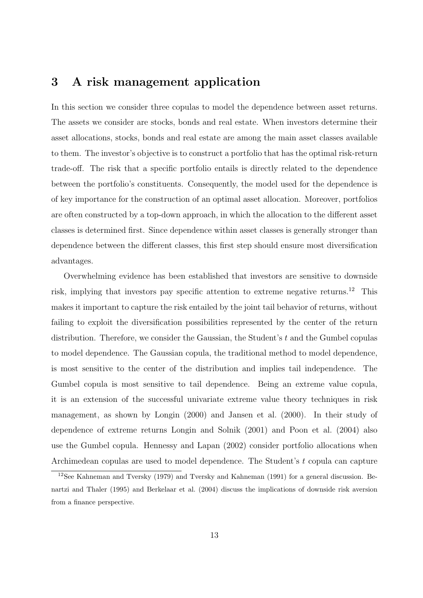# 3 A risk management application

In this section we consider three copulas to model the dependence between asset returns. The assets we consider are stocks, bonds and real estate. When investors determine their asset allocations, stocks, bonds and real estate are among the main asset classes available to them. The investor's objective is to construct a portfolio that has the optimal risk-return trade-off. The risk that a specific portfolio entails is directly related to the dependence between the portfolio's constituents. Consequently, the model used for the dependence is of key importance for the construction of an optimal asset allocation. Moreover, portfolios are often constructed by a top-down approach, in which the allocation to the different asset classes is determined first. Since dependence within asset classes is generally stronger than dependence between the different classes, this first step should ensure most diversification advantages.

Overwhelming evidence has been established that investors are sensitive to downside risk, implying that investors pay specific attention to extreme negative returns.<sup>12</sup> This makes it important to capture the risk entailed by the joint tail behavior of returns, without failing to exploit the diversification possibilities represented by the center of the return distribution. Therefore, we consider the Gaussian, the Student's t and the Gumbel copulas to model dependence. The Gaussian copula, the traditional method to model dependence, is most sensitive to the center of the distribution and implies tail independence. The Gumbel copula is most sensitive to tail dependence. Being an extreme value copula, it is an extension of the successful univariate extreme value theory techniques in risk management, as shown by Longin (2000) and Jansen et al. (2000). In their study of dependence of extreme returns Longin and Solnik (2001) and Poon et al. (2004) also use the Gumbel copula. Hennessy and Lapan (2002) consider portfolio allocations when Archimedean copulas are used to model dependence. The Student's t copula can capture

<sup>12</sup>See Kahneman and Tversky (1979) and Tversky and Kahneman (1991) for a general discussion. Benartzi and Thaler (1995) and Berkelaar et al. (2004) discuss the implications of downside risk aversion from a finance perspective.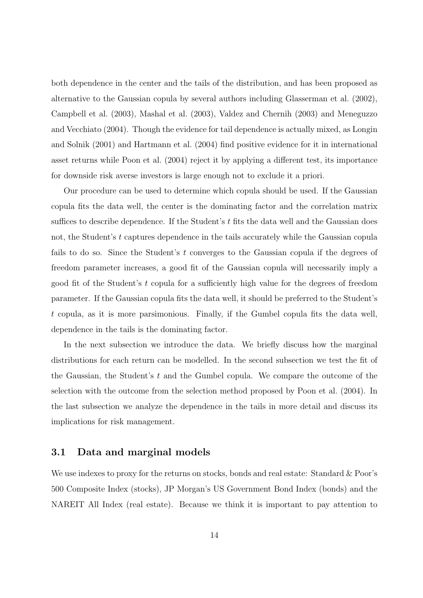both dependence in the center and the tails of the distribution, and has been proposed as alternative to the Gaussian copula by several authors including Glasserman et al. (2002), Campbell et al. (2003), Mashal et al. (2003), Valdez and Chernih (2003) and Meneguzzo and Vecchiato (2004). Though the evidence for tail dependence is actually mixed, as Longin and Solnik (2001) and Hartmann et al. (2004) find positive evidence for it in international asset returns while Poon et al. (2004) reject it by applying a different test, its importance for downside risk averse investors is large enough not to exclude it a priori.

Our procedure can be used to determine which copula should be used. If the Gaussian copula fits the data well, the center is the dominating factor and the correlation matrix suffices to describe dependence. If the Student's  $t$  fits the data well and the Gaussian does not, the Student's t captures dependence in the tails accurately while the Gaussian copula fails to do so. Since the Student's  $t$  converges to the Gaussian copula if the degrees of freedom parameter increases, a good fit of the Gaussian copula will necessarily imply a good fit of the Student's t copula for a sufficiently high value for the degrees of freedom parameter. If the Gaussian copula fits the data well, it should be preferred to the Student's t copula, as it is more parsimonious. Finally, if the Gumbel copula fits the data well, dependence in the tails is the dominating factor.

In the next subsection we introduce the data. We briefly discuss how the marginal distributions for each return can be modelled. In the second subsection we test the fit of the Gaussian, the Student's  $t$  and the Gumbel copula. We compare the outcome of the selection with the outcome from the selection method proposed by Poon et al. (2004). In the last subsection we analyze the dependence in the tails in more detail and discuss its implications for risk management.

### 3.1 Data and marginal models

We use indexes to proxy for the returns on stocks, bonds and real estate: Standard & Poor's 500 Composite Index (stocks), JP Morgan's US Government Bond Index (bonds) and the NAREIT All Index (real estate). Because we think it is important to pay attention to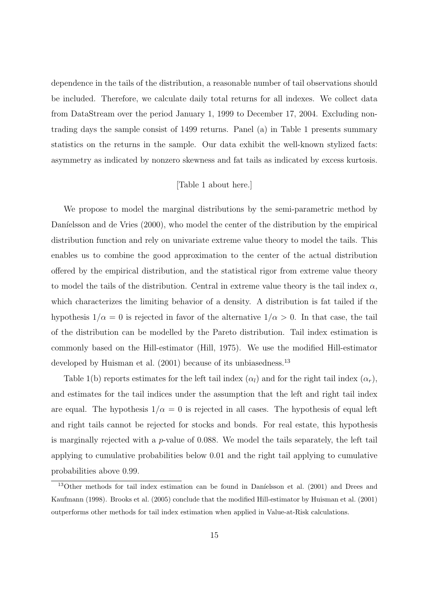dependence in the tails of the distribution, a reasonable number of tail observations should be included. Therefore, we calculate daily total returns for all indexes. We collect data from DataStream over the period January 1, 1999 to December 17, 2004. Excluding nontrading days the sample consist of 1499 returns. Panel (a) in Table 1 presents summary statistics on the returns in the sample. Our data exhibit the well-known stylized facts: asymmetry as indicated by nonzero skewness and fat tails as indicated by excess kurtosis.

#### [Table 1 about here.]

We propose to model the marginal distributions by the semi-parametric method by Daníelsson and de Vries (2000), who model the center of the distribution by the empirical distribution function and rely on univariate extreme value theory to model the tails. This enables us to combine the good approximation to the center of the actual distribution offered by the empirical distribution, and the statistical rigor from extreme value theory to model the tails of the distribution. Central in extreme value theory is the tail index  $\alpha$ , which characterizes the limiting behavior of a density. A distribution is fat tailed if the hypothesis  $1/\alpha = 0$  is rejected in favor of the alternative  $1/\alpha > 0$ . In that case, the tail of the distribution can be modelled by the Pareto distribution. Tail index estimation is commonly based on the Hill-estimator (Hill, 1975). We use the modified Hill-estimator developed by Huisman et al. (2001) because of its unbiasedness.<sup>13</sup>

Table 1(b) reports estimates for the left tail index  $(\alpha_l)$  and for the right tail index  $(\alpha_r)$ , and estimates for the tail indices under the assumption that the left and right tail index are equal. The hypothesis  $1/\alpha = 0$  is rejected in all cases. The hypothesis of equal left and right tails cannot be rejected for stocks and bonds. For real estate, this hypothesis is marginally rejected with a p-value of 0.088. We model the tails separately, the left tail applying to cumulative probabilities below 0.01 and the right tail applying to cumulative probabilities above 0.99.

 $13$ Other methods for tail index estimation can be found in Daníelsson et al. (2001) and Drees and Kaufmann (1998). Brooks et al. (2005) conclude that the modified Hill-estimator by Huisman et al. (2001) outperforms other methods for tail index estimation when applied in Value-at-Risk calculations.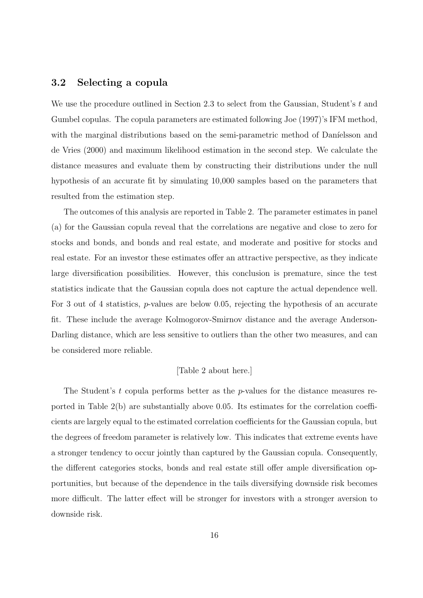### 3.2 Selecting a copula

We use the procedure outlined in Section 2.3 to select from the Gaussian, Student's  $t$  and Gumbel copulas. The copula parameters are estimated following Joe (1997)'s IFM method, with the marginal distributions based on the semi-parametric method of Daníelsson and de Vries (2000) and maximum likelihood estimation in the second step. We calculate the distance measures and evaluate them by constructing their distributions under the null hypothesis of an accurate fit by simulating 10,000 samples based on the parameters that resulted from the estimation step.

The outcomes of this analysis are reported in Table 2. The parameter estimates in panel (a) for the Gaussian copula reveal that the correlations are negative and close to zero for stocks and bonds, and bonds and real estate, and moderate and positive for stocks and real estate. For an investor these estimates offer an attractive perspective, as they indicate large diversification possibilities. However, this conclusion is premature, since the test statistics indicate that the Gaussian copula does not capture the actual dependence well. For 3 out of 4 statistics, p-values are below 0.05, rejecting the hypothesis of an accurate fit. These include the average Kolmogorov-Smirnov distance and the average Anderson-Darling distance, which are less sensitive to outliers than the other two measures, and can be considered more reliable.

#### [Table 2 about here.]

The Student's t copula performs better as the p-values for the distance measures reported in Table 2(b) are substantially above 0.05. Its estimates for the correlation coefficients are largely equal to the estimated correlation coefficients for the Gaussian copula, but the degrees of freedom parameter is relatively low. This indicates that extreme events have a stronger tendency to occur jointly than captured by the Gaussian copula. Consequently, the different categories stocks, bonds and real estate still offer ample diversification opportunities, but because of the dependence in the tails diversifying downside risk becomes more difficult. The latter effect will be stronger for investors with a stronger aversion to downside risk.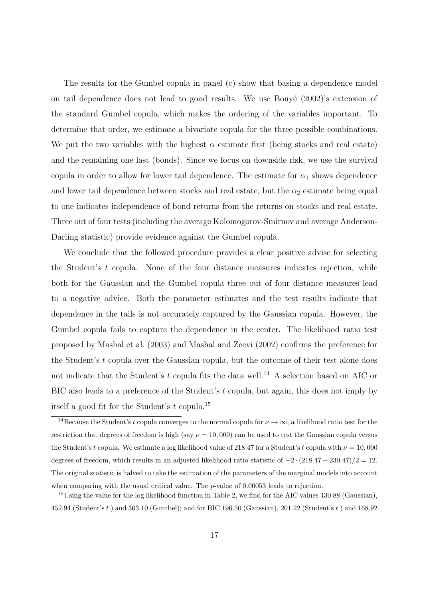The results for the Gumbel copula in panel (c) show that basing a dependence model on tail dependence does not lead to good results. We use Bouyé  $(2002)'s$  extension of the standard Gumbel copula, which makes the ordering of the variables important. To determine that order, we estimate a bivariate copula for the three possible combinations. We put the two variables with the highest  $\alpha$  estimate first (being stocks and real estate) and the remaining one last (bonds). Since we focus on downside risk, we use the survival copula in order to allow for lower tail dependence. The estimate for  $\alpha_1$  shows dependence and lower tail dependence between stocks and real estate, but the  $\alpha_2$  estimate being equal to one indicates independence of bond returns from the returns on stocks and real estate. Three out of four tests (including the average Kolomogorov-Smirnov and average Anderson-Darling statistic) provide evidence against the Gumbel copula.

We conclude that the followed procedure provides a clear positive advise for selecting the Student's t copula. None of the four distance measures indicates rejection, while both for the Gaussian and the Gumbel copula three out of four distance measures lead to a negative advice. Both the parameter estimates and the test results indicate that dependence in the tails is not accurately captured by the Gaussian copula. However, the Gumbel copula fails to capture the dependence in the center. The likelihood ratio test proposed by Mashal et al. (2003) and Mashal and Zeevi (2002) confirms the preference for the Student's t copula over the Gaussian copula, but the outcome of their test alone does not indicate that the Student's  $t$  copula fits the data well.<sup>14</sup> A selection based on AIC or BIC also leads to a preference of the Student's t copula, but again, this does not imply by itself a good fit for the Student's t copula.<sup>15</sup>

<sup>&</sup>lt;sup>14</sup>Because the Student's t copula converges to the normal copula for  $\nu \to \infty$ , a likelihood ratio test for the restriction that degrees of freedom is high (say  $\nu = 10,000$ ) can be used to test the Gaussian copula versus the Student's t copula. We estimate a log likelihood value of 218.47 for a Student's t copula with  $\nu = 10,000$ degrees of freedom, which results in an adjusted likelihood ratio statistic of  $-2 \cdot (218.47 - 230.47)/2 = 12$ . The original statistic is halved to take the estimation of the parameters of the marginal models into account when comparing with the usual critical value. The  $p$ -value of 0.00053 leads to rejection.

<sup>&</sup>lt;sup>15</sup>Using the value for the log likelihood function in Table 2, we find for the AIC values 430.88 (Gaussian), 452.94 (Student's t ) and 363.10 (Gumbel); and for BIC 196.50 (Gaussian), 201.22 (Student's t ) and 168.92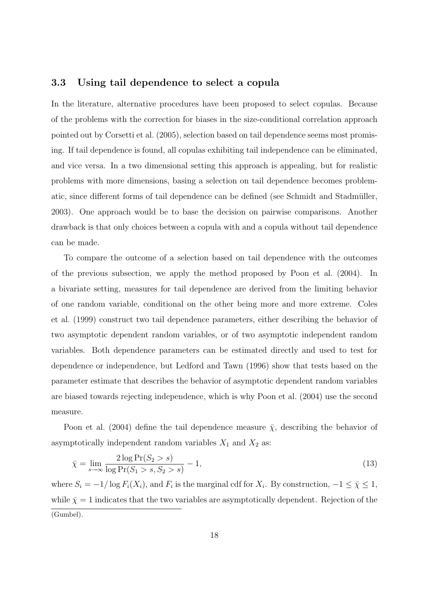### 3.3 Using tail dependence to select a copula

In the literature, alternative procedures have been proposed to select copulas. Because of the problems with the correction for biases in the size-conditional correlation approach pointed out by Corsetti et al. (2005), selection based on tail dependence seems most promising. If tail dependence is found, all copulas exhibiting tail independence can be eliminated, and vice versa. In a two dimensional setting this approach is appealing, but for realistic problems with more dimensions, basing a selection on tail dependence becomes problematic, since different forms of tail dependence can be defined (see Schmidt and Stadmüller, 2003). One approach would be to base the decision on pairwise comparisons. Another drawback is that only choices between a copula with and a copula without tail dependence can be made.

To compare the outcome of a selection based on tail dependence with the outcomes of the previous subsection, we apply the method proposed by Poon et al. (2004). In a bivariate setting, measures for tail dependence are derived from the limiting behavior of one random variable, conditional on the other being more and more extreme. Coles et al. (1999) construct two tail dependence parameters, either describing the behavior of two asymptotic dependent random variables, or of two asymptotic independent random variables. Both dependence parameters can be estimated directly and used to test for dependence or independence, but Ledford and Tawn (1996) show that tests based on the parameter estimate that describes the behavior of asymptotic dependent random variables are biased towards rejecting independence, which is why Poon et al. (2004) use the second measure.

Poon et al. (2004) define the tail dependence measure  $\bar{\chi}$ , describing the behavior of asymptotically independent random variables  $X_1$  and  $X_2$  as:

$$
\bar{\chi} = \lim_{s \to \infty} \frac{2 \log \Pr(S_2 > s)}{\log \Pr(S_1 > s, S_2 > s)} - 1,\tag{13}
$$

where  $S_i = -1/\log F_i(X_i)$ , and  $F_i$  is the marginal cdf for  $X_i$ . By construction,  $-1 \leq \bar{\chi} \leq 1$ , while  $\bar{\chi} = 1$  indicates that the two variables are asymptotically dependent. Rejection of the (Gumbel).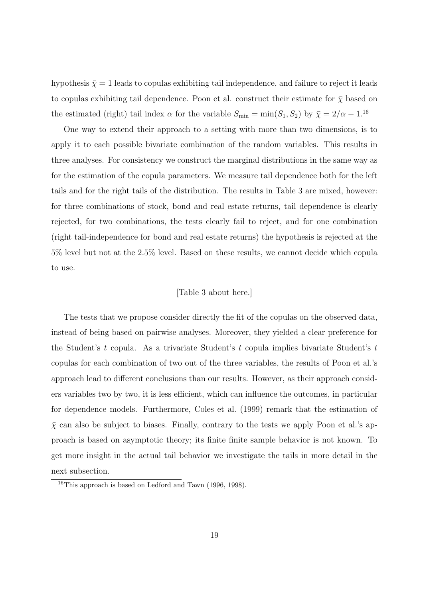hypothesis  $\bar{\chi} = 1$  leads to copulas exhibiting tail independence, and failure to reject it leads to copulas exhibiting tail dependence. Poon et al. construct their estimate for  $\bar{\chi}$  based on the estimated (right) tail index  $\alpha$  for the variable  $S_{\text{min}} = \min(S_1, S_2)$  by  $\bar{\chi} = 2/\alpha - 1.16$ 

One way to extend their approach to a setting with more than two dimensions, is to apply it to each possible bivariate combination of the random variables. This results in three analyses. For consistency we construct the marginal distributions in the same way as for the estimation of the copula parameters. We measure tail dependence both for the left tails and for the right tails of the distribution. The results in Table 3 are mixed, however: for three combinations of stock, bond and real estate returns, tail dependence is clearly rejected, for two combinations, the tests clearly fail to reject, and for one combination (right tail-independence for bond and real estate returns) the hypothesis is rejected at the 5% level but not at the 2.5% level. Based on these results, we cannot decide which copula to use.

#### [Table 3 about here.]

The tests that we propose consider directly the fit of the copulas on the observed data, instead of being based on pairwise analyses. Moreover, they yielded a clear preference for the Student's t copula. As a trivariate Student's t copula implies bivariate Student's t copulas for each combination of two out of the three variables, the results of Poon et al.'s approach lead to different conclusions than our results. However, as their approach considers variables two by two, it is less efficient, which can influence the outcomes, in particular for dependence models. Furthermore, Coles et al. (1999) remark that the estimation of  $\bar{\chi}$  can also be subject to biases. Finally, contrary to the tests we apply Poon et al.'s approach is based on asymptotic theory; its finite finite sample behavior is not known. To get more insight in the actual tail behavior we investigate the tails in more detail in the next subsection.

<sup>16</sup>This approach is based on Ledford and Tawn (1996, 1998).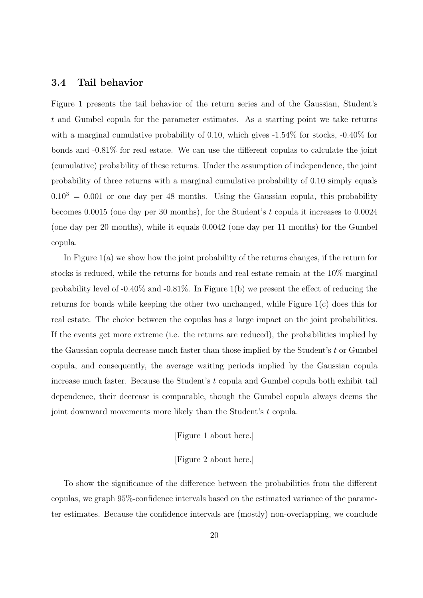#### 3.4 Tail behavior

Figure 1 presents the tail behavior of the return series and of the Gaussian, Student's t and Gumbel copula for the parameter estimates. As a starting point we take returns with a marginal cumulative probability of 0.10, which gives  $-1.54\%$  for stocks,  $-0.40\%$  for bonds and -0.81% for real estate. We can use the different copulas to calculate the joint (cumulative) probability of these returns. Under the assumption of independence, the joint probability of three returns with a marginal cumulative probability of 0.10 simply equals  $0.10<sup>3</sup> = 0.001$  or one day per 48 months. Using the Gaussian copula, this probability becomes 0.0015 (one day per 30 months), for the Student's  $t$  copula it increases to 0.0024 (one day per 20 months), while it equals 0.0042 (one day per 11 months) for the Gumbel copula.

In Figure 1(a) we show how the joint probability of the returns changes, if the return for stocks is reduced, while the returns for bonds and real estate remain at the 10% marginal probability level of -0.40% and -0.81%. In Figure 1(b) we present the effect of reducing the returns for bonds while keeping the other two unchanged, while Figure 1(c) does this for real estate. The choice between the copulas has a large impact on the joint probabilities. If the events get more extreme (i.e. the returns are reduced), the probabilities implied by the Gaussian copula decrease much faster than those implied by the Student's  $t$  or Gumbel copula, and consequently, the average waiting periods implied by the Gaussian copula increase much faster. Because the Student's t copula and Gumbel copula both exhibit tail dependence, their decrease is comparable, though the Gumbel copula always deems the joint downward movements more likely than the Student's t copula.

#### [Figure 1 about here.]

#### [Figure 2 about here.]

To show the significance of the difference between the probabilities from the different copulas, we graph 95%-confidence intervals based on the estimated variance of the parameter estimates. Because the confidence intervals are (mostly) non-overlapping, we conclude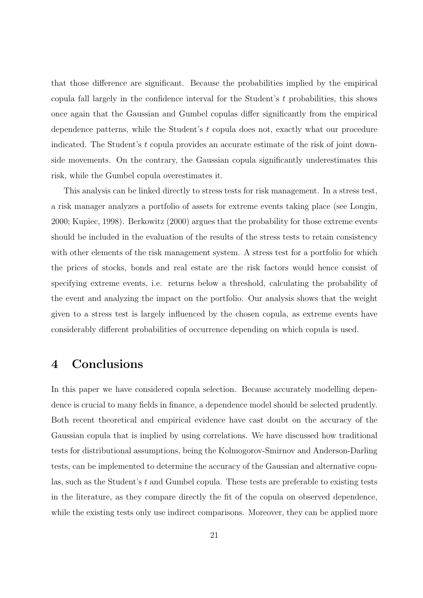that those difference are significant. Because the probabilities implied by the empirical copula fall largely in the confidence interval for the Student's  $t$  probabilities, this shows once again that the Gaussian and Gumbel copulas differ significantly from the empirical dependence patterns, while the Student's t copula does not, exactly what our procedure indicated. The Student's t copula provides an accurate estimate of the risk of joint downside movements. On the contrary, the Gaussian copula significantly underestimates this risk, while the Gumbel copula overestimates it.

This analysis can be linked directly to stress tests for risk management. In a stress test, a risk manager analyzes a portfolio of assets for extreme events taking place (see Longin, 2000; Kupiec, 1998). Berkowitz (2000) argues that the probability for those extreme events should be included in the evaluation of the results of the stress tests to retain consistency with other elements of the risk management system. A stress test for a portfolio for which the prices of stocks, bonds and real estate are the risk factors would hence consist of specifying extreme events, i.e. returns below a threshold, calculating the probability of the event and analyzing the impact on the portfolio. Our analysis shows that the weight given to a stress test is largely influenced by the chosen copula, as extreme events have considerably different probabilities of occurrence depending on which copula is used.

# 4 Conclusions

In this paper we have considered copula selection. Because accurately modelling dependence is crucial to many fields in finance, a dependence model should be selected prudently. Both recent theoretical and empirical evidence have cast doubt on the accuracy of the Gaussian copula that is implied by using correlations. We have discussed how traditional tests for distributional assumptions, being the Kolmogorov-Smirnov and Anderson-Darling tests, can be implemented to determine the accuracy of the Gaussian and alternative copulas, such as the Student's t and Gumbel copula. These tests are preferable to existing tests in the literature, as they compare directly the fit of the copula on observed dependence, while the existing tests only use indirect comparisons. Moreover, they can be applied more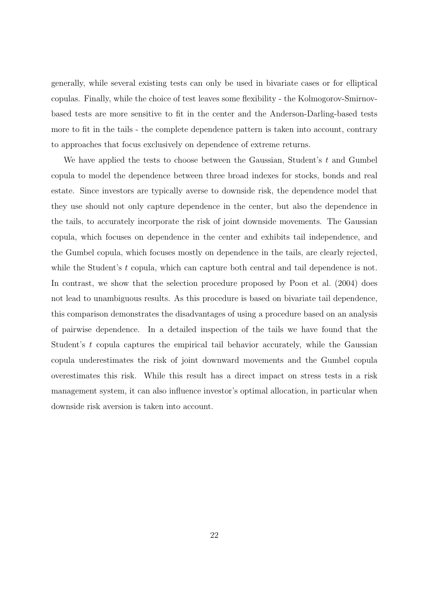generally, while several existing tests can only be used in bivariate cases or for elliptical copulas. Finally, while the choice of test leaves some flexibility - the Kolmogorov-Smirnovbased tests are more sensitive to fit in the center and the Anderson-Darling-based tests more to fit in the tails - the complete dependence pattern is taken into account, contrary to approaches that focus exclusively on dependence of extreme returns.

We have applied the tests to choose between the Gaussian, Student's  $t$  and Gumbel copula to model the dependence between three broad indexes for stocks, bonds and real estate. Since investors are typically averse to downside risk, the dependence model that they use should not only capture dependence in the center, but also the dependence in the tails, to accurately incorporate the risk of joint downside movements. The Gaussian copula, which focuses on dependence in the center and exhibits tail independence, and the Gumbel copula, which focuses mostly on dependence in the tails, are clearly rejected, while the Student's  $t$  copula, which can capture both central and tail dependence is not. In contrast, we show that the selection procedure proposed by Poon et al. (2004) does not lead to unambiguous results. As this procedure is based on bivariate tail dependence, this comparison demonstrates the disadvantages of using a procedure based on an analysis of pairwise dependence. In a detailed inspection of the tails we have found that the Student's  $t$  copula captures the empirical tail behavior accurately, while the Gaussian copula underestimates the risk of joint downward movements and the Gumbel copula overestimates this risk. While this result has a direct impact on stress tests in a risk management system, it can also influence investor's optimal allocation, in particular when downside risk aversion is taken into account.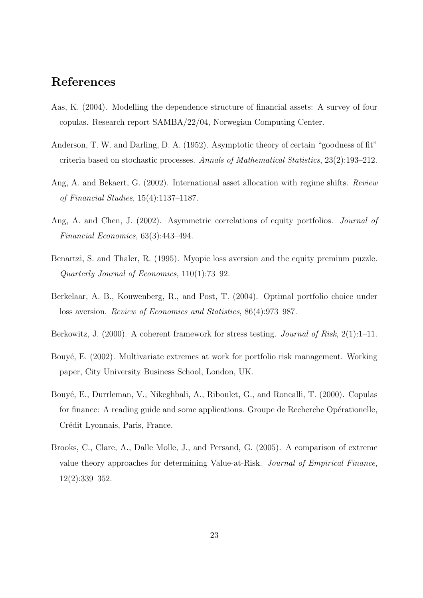# References

- Aas, K. (2004). Modelling the dependence structure of financial assets: A survey of four copulas. Research report SAMBA/22/04, Norwegian Computing Center.
- Anderson, T. W. and Darling, D. A. (1952). Asymptotic theory of certain "goodness of fit" criteria based on stochastic processes. Annals of Mathematical Statistics, 23(2):193–212.
- Ang, A. and Bekaert, G. (2002). International asset allocation with regime shifts. Review of Financial Studies, 15(4):1137–1187.
- Ang, A. and Chen, J. (2002). Asymmetric correlations of equity portfolios. Journal of Financial Economics, 63(3):443–494.
- Benartzi, S. and Thaler, R. (1995). Myopic loss aversion and the equity premium puzzle. Quarterly Journal of Economics, 110(1):73–92.
- Berkelaar, A. B., Kouwenberg, R., and Post, T. (2004). Optimal portfolio choice under loss aversion. Review of Economics and Statistics, 86(4):973–987.
- Berkowitz, J. (2000). A coherent framework for stress testing. *Journal of Risk*, 2(1):1–11.
- Bouyé, E. (2002). Multivariate extremes at work for portfolio risk management. Working paper, City University Business School, London, UK.
- Bouyé, E., Durrleman, V., Nikeghbali, A., Riboulet, G., and Roncalli, T. (2000). Copulas for finance: A reading guide and some applications. Groupe de Recherche Opérationelle, Crédit Lyonnais, Paris, France.
- Brooks, C., Clare, A., Dalle Molle, J., and Persand, G. (2005). A comparison of extreme value theory approaches for determining Value-at-Risk. Journal of Empirical Finance, 12(2):339–352.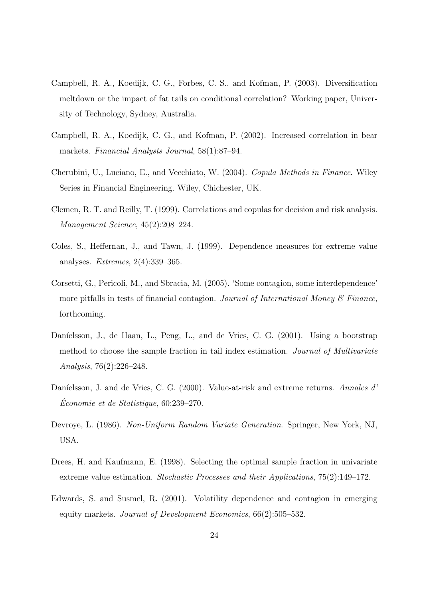- Campbell, R. A., Koedijk, C. G., Forbes, C. S., and Kofman, P. (2003). Diversification meltdown or the impact of fat tails on conditional correlation? Working paper, University of Technology, Sydney, Australia.
- Campbell, R. A., Koedijk, C. G., and Kofman, P. (2002). Increased correlation in bear markets. Financial Analysts Journal, 58(1):87–94.
- Cherubini, U., Luciano, E., and Vecchiato, W. (2004). Copula Methods in Finance. Wiley Series in Financial Engineering. Wiley, Chichester, UK.
- Clemen, R. T. and Reilly, T. (1999). Correlations and copulas for decision and risk analysis. Management Science, 45(2):208–224.
- Coles, S., Heffernan, J., and Tawn, J. (1999). Dependence measures for extreme value analyses. Extremes, 2(4):339–365.
- Corsetti, G., Pericoli, M., and Sbracia, M. (2005). 'Some contagion, some interdependence' more pitfalls in tests of financial contagion. Journal of International Money  $\mathcal C$  Finance, forthcoming.
- Daníelsson, J., de Haan, L., Peng, L., and de Vries, C. G. (2001). Using a bootstrap method to choose the sample fraction in tail index estimation. *Journal of Multivariate* Analysis, 76(2):226–248.
- Daníelsson, J. and de Vries, C. G. (2000). Value-at-risk and extreme returns. Annales d'  $Économie et de Statistique, 60:239-270.$
- Devroye, L. (1986). Non-Uniform Random Variate Generation. Springer, New York, NJ, USA.
- Drees, H. and Kaufmann, E. (1998). Selecting the optimal sample fraction in univariate extreme value estimation. Stochastic Processes and their Applications, 75(2):149–172.
- Edwards, S. and Susmel, R. (2001). Volatility dependence and contagion in emerging equity markets. Journal of Development Economics, 66(2):505–532.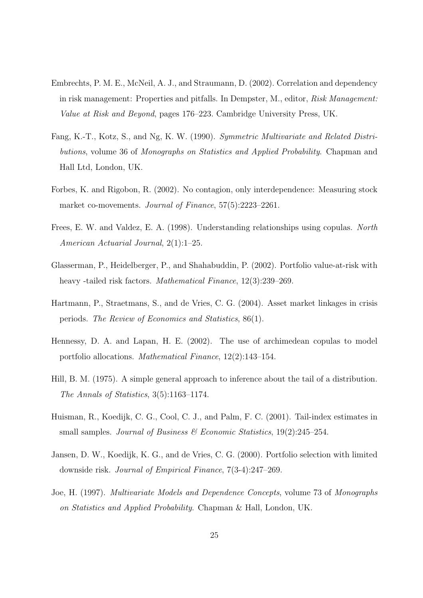- Embrechts, P. M. E., McNeil, A. J., and Straumann, D. (2002). Correlation and dependency in risk management: Properties and pitfalls. In Dempster, M., editor, Risk Management: Value at Risk and Beyond, pages 176–223. Cambridge University Press, UK.
- Fang, K.-T., Kotz, S., and Ng, K. W. (1990). Symmetric Multivariate and Related Distributions, volume 36 of Monographs on Statistics and Applied Probability. Chapman and Hall Ltd, London, UK.
- Forbes, K. and Rigobon, R. (2002). No contagion, only interdependence: Measuring stock market co-movements. *Journal of Finance*, 57(5):2223-2261.
- Frees, E. W. and Valdez, E. A. (1998). Understanding relationships using copulas. North American Actuarial Journal, 2(1):1–25.
- Glasserman, P., Heidelberger, P., and Shahabuddin, P. (2002). Portfolio value-at-risk with heavy -tailed risk factors. *Mathematical Finance*, 12(3):239–269.
- Hartmann, P., Straetmans, S., and de Vries, C. G. (2004). Asset market linkages in crisis periods. The Review of Economics and Statistics, 86(1).
- Hennessy, D. A. and Lapan, H. E. (2002). The use of archimedean copulas to model portfolio allocations. Mathematical Finance, 12(2):143–154.
- Hill, B. M. (1975). A simple general approach to inference about the tail of a distribution. The Annals of Statistics, 3(5):1163–1174.
- Huisman, R., Koedijk, C. G., Cool, C. J., and Palm, F. C. (2001). Tail-index estimates in small samples. Journal of Business  $\mathcal{C}$  Economic Statistics, 19(2):245–254.
- Jansen, D. W., Koedijk, K. G., and de Vries, C. G. (2000). Portfolio selection with limited downside risk. Journal of Empirical Finance, 7(3-4):247–269.
- Joe, H. (1997). Multivariate Models and Dependence Concepts, volume 73 of Monographs on Statistics and Applied Probability. Chapman & Hall, London, UK.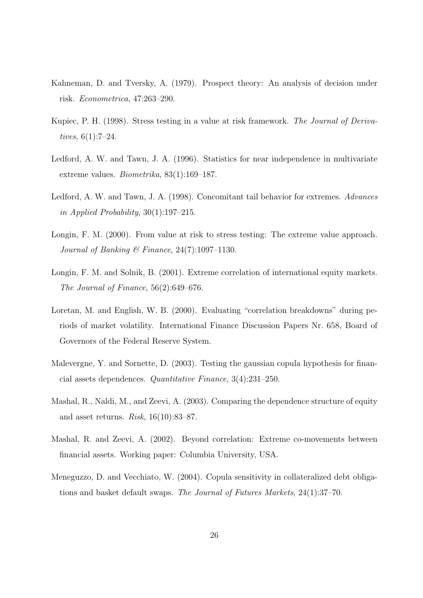- Kahneman, D. and Tversky, A. (1979). Prospect theory: An analysis of decision under risk. Econometrica, 47:263–290.
- Kupiec, P. H. (1998). Stress testing in a value at risk framework. The Journal of Derivatives, 6(1):7–24.
- Ledford, A. W. and Tawn, J. A. (1996). Statistics for near independence in multivariate extreme values. Biometrika, 83(1):169–187.
- Ledford, A. W. and Tawn, J. A. (1998). Concomitant tail behavior for extremes. Advances in Applied Probability,  $30(1):197-215$ .
- Longin, F. M. (2000). From value at risk to stress testing: The extreme value approach. Journal of Banking & Finance,  $24(7):1097-1130$ .
- Longin, F. M. and Solnik, B. (2001). Extreme correlation of international equity markets. The Journal of Finance, 56(2):649–676.
- Loretan, M. and English, W. B. (2000). Evaluating "correlation breakdowns" during periods of market volatility. International Finance Discussion Papers Nr. 658, Board of Governors of the Federal Reserve System.
- Malevergne, Y. and Sornette, D. (2003). Testing the gaussian copula hypothesis for financial assets dependences. Quantitative Finance, 3(4):231–250.
- Mashal, R., Naldi, M., and Zeevi, A. (2003). Comparing the dependence structure of equity and asset returns. Risk, 16(10):83–87.
- Mashal, R. and Zeevi, A. (2002). Beyond correlation: Extreme co-movements between financial assets. Working paper: Columbia University, USA.
- Meneguzzo, D. and Vecchiato, W. (2004). Copula sensitivity in collateralized debt obligations and basket default swaps. The Journal of Futures Markets, 24(1):37–70.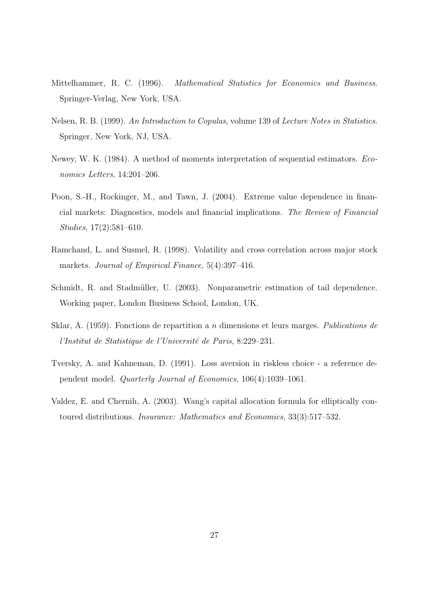- Mittelhammer, R. C. (1996). Mathematical Statistics for Economics and Business. Springer-Verlag, New York, USA.
- Nelsen, R. B. (1999). An Introduction to Copulas, volume 139 of Lecture Notes in Statistics. Springer, New York, NJ, USA.
- Newey, W. K. (1984). A method of moments interpretation of sequential estimators. Economics Letters, 14:201–206.
- Poon, S.-H., Rockinger, M., and Tawn, J. (2004). Extreme value dependence in financial markets: Diagnostics, models and financial implications. The Review of Financial Studies, 17(2):581–610.
- Ramchand, L. and Susmel, R. (1998). Volatility and cross correlation across major stock markets. Journal of Empirical Finance, 5(4):397-416.
- Schmidt, R. and Stadmüller, U. (2003). Nonparametric estimation of tail dependence. Working paper, London Business School, London, UK.
- Sklar, A. (1959). Fonctions de repartition a n dimensions et leurs marges. Publications de l'Institut de Statistique de l'Université de Paris, 8:229–231.
- Tversky, A. and Kahneman, D. (1991). Loss aversion in riskless choice a reference dependent model. Quarterly Journal of Economics, 106(4):1039–1061.
- Valdez, E. and Chernih, A. (2003). Wang's capital allocation formula for elliptically contoured distributions. Insurance: Mathematics and Economics, 33(3):517–532.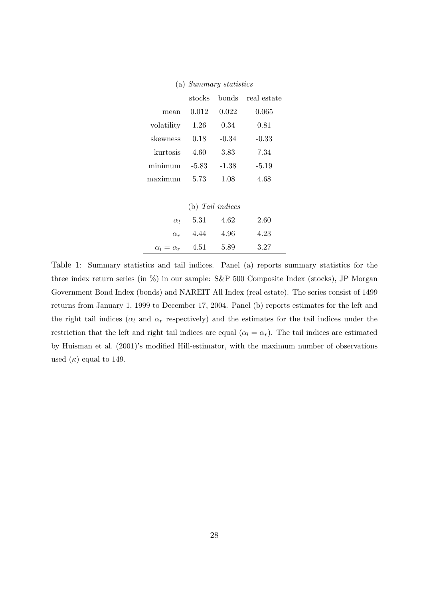|                  | stocks  | bonds   | real estate |  |
|------------------|---------|---------|-------------|--|
| mean             | 0.012   | 0.022   | 0.065       |  |
| volatility       | 1.26    | 0.34    | 0.81        |  |
| skewness         | 0.18    | $-0.34$ | $-0.33$     |  |
| kurtosis         | 4.60    | 3.83    | 7.34        |  |
| minimum          | $-5.83$ | -1.38   | $-5.19$     |  |
| maximum          | 5.73    | 1.08    | 4.68        |  |
|                  |         |         |             |  |
| (b) Tail indices |         |         |             |  |
| $\alpha$         | 5 31    | 4.62    | 2.60        |  |

(a) Summary statistics

| (b) Tail indices           |      |        |      |  |  |
|----------------------------|------|--------|------|--|--|
| $\alpha$ <sub>1</sub>      | 5.31 | - 4.62 | 2.60 |  |  |
| $\alpha_r$                 | 4.44 | 4.96   | 4.23 |  |  |
| $\alpha_l = \alpha_r$ 4.51 |      | 5.89   | 3.27 |  |  |

Table 1: Summary statistics and tail indices. Panel (a) reports summary statistics for the three index return series (in %) in our sample: S&P 500 Composite Index (stocks), JP Morgan Government Bond Index (bonds) and NAREIT All Index (real estate). The series consist of 1499 returns from January 1, 1999 to December 17, 2004. Panel (b) reports estimates for the left and the right tail indices ( $\alpha_l$  and  $\alpha_r$  respectively) and the estimates for the tail indices under the restriction that the left and right tail indices are equal ( $\alpha_l = \alpha_r$ ). The tail indices are estimated by Huisman et al. (2001)'s modified Hill-estimator, with the maximum number of observations used  $(\kappa)$  equal to 149.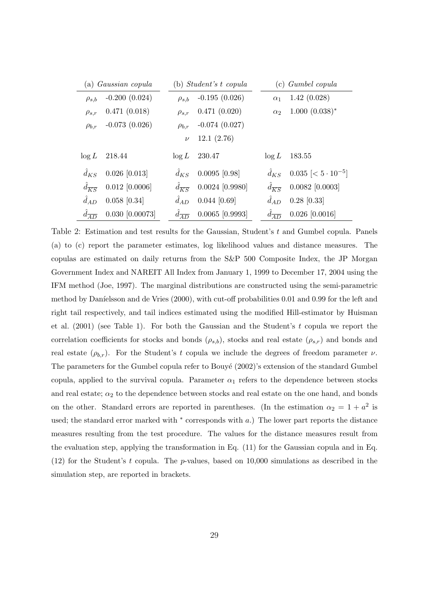|                     | (a) <i>Gaussian copula</i> |                     | (b) Student's t copula |                     | (c) <i>Gumbel copula</i>     |
|---------------------|----------------------------|---------------------|------------------------|---------------------|------------------------------|
| $\rho_{s,b}$        | $-0.200(0.024)$            | $\rho_{s,b}$        | $-0.195(0.026)$        | $\alpha_1$          | 1.42(0.028)                  |
| $\rho_{s,r}$        | 0.471(0.018)               | $\rho_{s,r}$        | 0.471(0.020)           | $\alpha_2$          | $1.000~(0.038)$ *            |
| $\rho_{b,r}$        | $-0.073(0.026)$            | $\rho_{b,r}$        | $-0.074(0.027)$        |                     |                              |
|                     |                            | $\nu$               | 12.1(2.76)             |                     |                              |
| $\log L$            | 218.44                     | $\log L$            | 230.47                 | $\log L$            | 183.55                       |
| $d_{KS}$            | $0.026$ [0.013]            | $d_{KS}$            | $0.0095$ [0.98]        | $d_{KS}$            | $0.035 \leq 5 \cdot 10^{-5}$ |
| $d_{\overline{KS}}$ | $0.012$ [0.0006]           | $d_{\overline{KS}}$ | $0.0024$ [0.9980]      | $d_{\overline{KS}}$ | $0.0082$ [0.0003]            |
| $d_{AD}$            | $0.058$ [0.34]             | $d_{AD}$            | $0.044$ [0.69]         | $d_{AD}$            | $0.28$ [0.33]                |
| $d_{\overline{AD}}$ | $0.030$ [0.00073]          | $d_{\overline{AD}}$ | $0.0065$ [0.9993]      | $d_{\overline{AD}}$ | $0.026$ [0.0016]             |

Table 2: Estimation and test results for the Gaussian, Student's t and Gumbel copula. Panels (a) to (c) report the parameter estimates, log likelihood values and distance measures. The copulas are estimated on daily returns from the S&P 500 Composite Index, the JP Morgan Government Index and NAREIT All Index from January 1, 1999 to December 17, 2004 using the IFM method (Joe, 1997). The marginal distributions are constructed using the semi-parametric method by Daníelsson and de Vries  $(2000)$ , with cut-off probabilities 0.01 and 0.99 for the left and right tail respectively, and tail indices estimated using the modified Hill-estimator by Huisman et al. (2001) (see Table 1). For both the Gaussian and the Student's t copula we report the correlation coefficients for stocks and bonds  $(\rho_{s,b})$ , stocks and real estate  $(\rho_{s,r})$  and bonds and real estate  $(\rho_{b,r})$ . For the Student's t copula we include the degrees of freedom parameter  $\nu$ . The parameters for the Gumbel copula refer to Bouyé (2002)'s extension of the standard Gumbel copula, applied to the survival copula. Parameter  $\alpha_1$  refers to the dependence between stocks and real estate;  $\alpha_2$  to the dependence between stocks and real estate on the one hand, and bonds on the other. Standard errors are reported in parentheses. (In the estimation  $\alpha_2 = 1 + a^2$  is used; the standard error marked with  $*$  corresponds with a.) The lower part reports the distance measures resulting from the test procedure. The values for the distance measures result from the evaluation step, applying the transformation in Eq. (11) for the Gaussian copula and in Eq.  $(12)$  for the Student's t copula. The p-values, based on 10,000 simulations as described in the simulation step, are reported in brackets.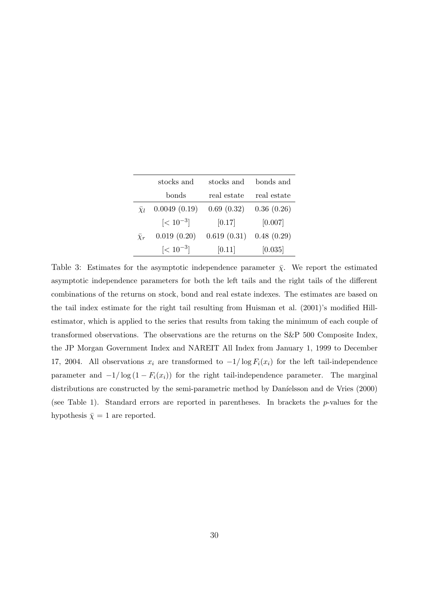|                | stocks and     | stocks and  | bonds and   |
|----------------|----------------|-------------|-------------|
|                | bonds          | real estate | real estate |
| $\chi_l$       | 0.0049(0.19)   | 0.69(0.32)  | 0.36(0.26)  |
|                | $\leq 10^{-3}$ | [0.17]      | [0.007]     |
| $\bar{\chi}_r$ | 0.019(0.20)    | 0.619(0.31) | 0.48(0.29)  |
|                | $\leq 10^{-3}$ | [0.11]      | [0.035]     |

Table 3: Estimates for the asymptotic independence parameter  $\bar{\chi}$ . We report the estimated asymptotic independence parameters for both the left tails and the right tails of the different combinations of the returns on stock, bond and real estate indexes. The estimates are based on the tail index estimate for the right tail resulting from Huisman et al. (2001)'s modified Hillestimator, which is applied to the series that results from taking the minimum of each couple of transformed observations. The observations are the returns on the S&P 500 Composite Index, the JP Morgan Government Index and NAREIT All Index from January 1, 1999 to December 17, 2004. All observations  $x_i$  are transformed to  $-1/\log F_i(x_i)$  for the left tail-independence parameter and  $-1/\log(1 - F_i(x_i))$  for the right tail-independence parameter. The marginal distributions are constructed by the semi-parametric method by Daníelsson and de Vries (2000) (see Table 1). Standard errors are reported in parentheses. In brackets the p-values for the hypothesis  $\bar{\chi} = 1$  are reported.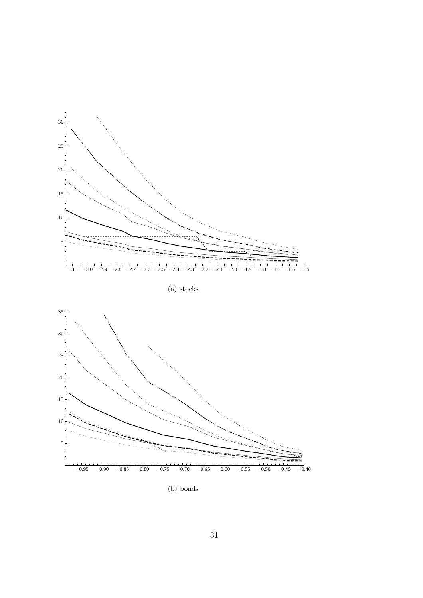

(b) bonds

−0.95 −0.90 −0.85 −0.80 −0.75 −0.70 −0.65 −0.60 −0.55 −0.50 −0.45 −0.40